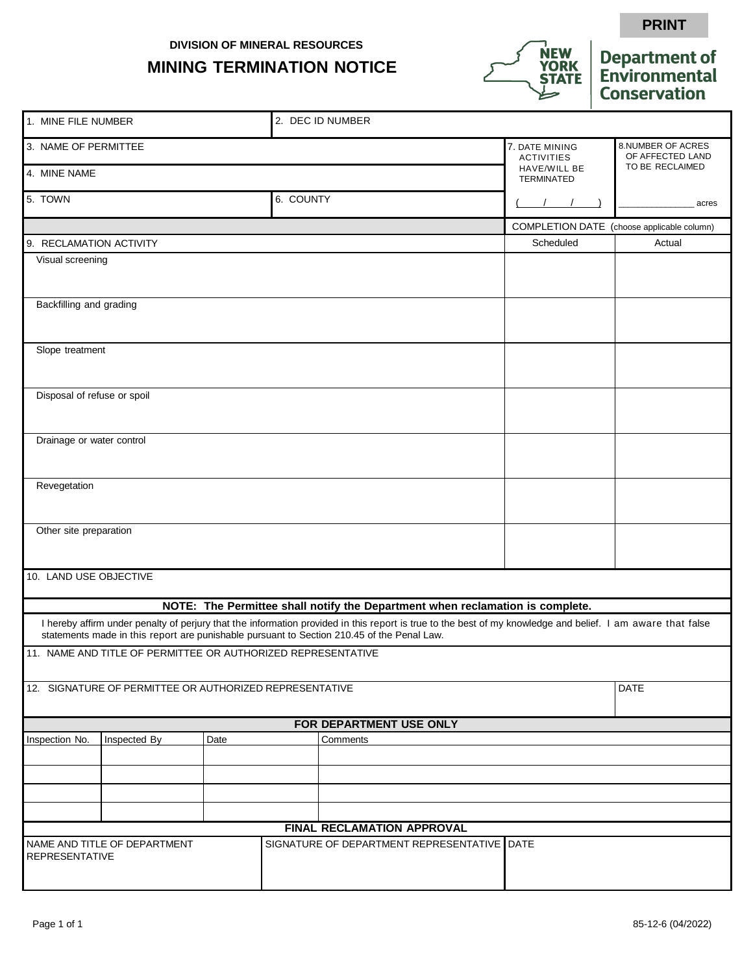**DIVISION OF MINERAL RESOURCES**

## **MINING TERMINATION NOTICE**



## **Department of**<br>**Environmental Conservation**

**PRINT**

|                                                                                                                                                                                                                                                           | 1. MINE FILE NUMBER<br>2. DEC ID NUMBER                      |      |           |          |                                                                               |                                     |                                            |
|-----------------------------------------------------------------------------------------------------------------------------------------------------------------------------------------------------------------------------------------------------------|--------------------------------------------------------------|------|-----------|----------|-------------------------------------------------------------------------------|-------------------------------------|--------------------------------------------|
| 3. NAME OF PERMITTEE                                                                                                                                                                                                                                      |                                                              |      |           |          |                                                                               | 7. DATE MINING<br><b>ACTIVITIES</b> | 8.NUMBER OF ACRES<br>OF AFFECTED LAND      |
| 4. MINE NAME                                                                                                                                                                                                                                              |                                                              |      |           |          |                                                                               | HAVE/WILL BE<br>TERMINATED          | TO BE RECLAIMED                            |
| 5. TOWN                                                                                                                                                                                                                                                   |                                                              |      | 6. COUNTY |          |                                                                               |                                     | acres                                      |
|                                                                                                                                                                                                                                                           |                                                              |      |           |          |                                                                               |                                     | COMPLETION DATE (choose applicable column) |
| 9. RECLAMATION ACTIVITY                                                                                                                                                                                                                                   |                                                              |      |           |          |                                                                               | Scheduled                           | Actual                                     |
| Visual screening                                                                                                                                                                                                                                          |                                                              |      |           |          |                                                                               |                                     |                                            |
| Backfilling and grading                                                                                                                                                                                                                                   |                                                              |      |           |          |                                                                               |                                     |                                            |
| Slope treatment                                                                                                                                                                                                                                           |                                                              |      |           |          |                                                                               |                                     |                                            |
| Disposal of refuse or spoil                                                                                                                                                                                                                               |                                                              |      |           |          |                                                                               |                                     |                                            |
| Drainage or water control                                                                                                                                                                                                                                 |                                                              |      |           |          |                                                                               |                                     |                                            |
| Revegetation                                                                                                                                                                                                                                              |                                                              |      |           |          |                                                                               |                                     |                                            |
| Other site preparation                                                                                                                                                                                                                                    |                                                              |      |           |          |                                                                               |                                     |                                            |
| 10. LAND USE OBJECTIVE                                                                                                                                                                                                                                    |                                                              |      |           |          |                                                                               |                                     |                                            |
|                                                                                                                                                                                                                                                           |                                                              |      |           |          | NOTE: The Permittee shall notify the Department when reclamation is complete. |                                     |                                            |
| I hereby affirm under penalty of perjury that the information provided in this report is true to the best of my knowledge and belief. I am aware that false<br>statements made in this report are punishable pursuant to Section 210.45 of the Penal Law. |                                                              |      |           |          |                                                                               |                                     |                                            |
|                                                                                                                                                                                                                                                           | 11. NAME AND TITLE OF PERMITTEE OR AUTHORIZED REPRESENTATIVE |      |           |          |                                                                               |                                     |                                            |
| 12. SIGNATURE OF PERMITTEE OR AUTHORIZED REPRESENTATIVE                                                                                                                                                                                                   |                                                              |      |           |          |                                                                               |                                     | <b>DATE</b>                                |
| FOR DEPARTMENT USE ONLY                                                                                                                                                                                                                                   |                                                              |      |           |          |                                                                               |                                     |                                            |
| Inspection No.                                                                                                                                                                                                                                            | Inspected By                                                 | Date |           | Comments |                                                                               |                                     |                                            |
|                                                                                                                                                                                                                                                           |                                                              |      |           |          |                                                                               |                                     |                                            |
|                                                                                                                                                                                                                                                           |                                                              |      |           |          |                                                                               |                                     |                                            |
|                                                                                                                                                                                                                                                           |                                                              |      |           |          |                                                                               |                                     |                                            |
|                                                                                                                                                                                                                                                           |                                                              |      |           |          |                                                                               |                                     |                                            |
| FINAL RECLAMATION APPROVAL                                                                                                                                                                                                                                |                                                              |      |           |          |                                                                               |                                     |                                            |
| NAME AND TITLE OF DEPARTMENT<br>SIGNATURE OF DEPARTMENT REPRESENTATIVE DATE                                                                                                                                                                               |                                                              |      |           |          |                                                                               |                                     |                                            |
| <b>REPRESENTATIVE</b>                                                                                                                                                                                                                                     |                                                              |      |           |          |                                                                               |                                     |                                            |